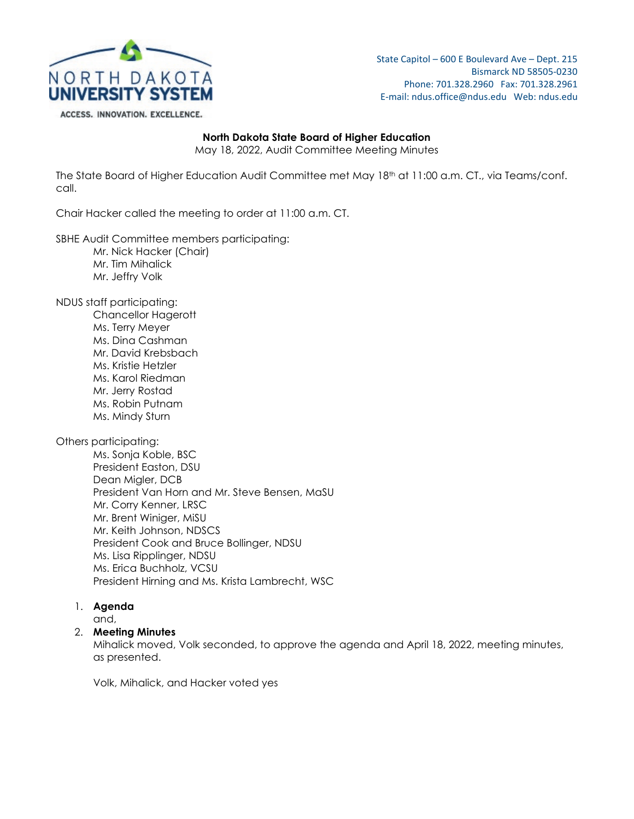

State Capitol – 600 E Boulevard Ave – Dept. 215 Bismarck ND 58505-0230 Phone: 701.328.2960 Fax: 701.328.2961 E-mail: ndus.office@ndus.edu Web: ndus.edu

# **North Dakota State Board of Higher Education**

May 18, 2022, Audit Committee Meeting Minutes

The State Board of Higher Education Audit Committee met May 18th at 11:00 a.m. CT., via Teams/conf. call.

Chair Hacker called the meeting to order at 11:00 a.m. CT.

SBHE Audit Committee members participating:

- Mr. Nick Hacker (Chair)
- Mr. Tim Mihalick
- Mr. Jeffry Volk

NDUS staff participating:

Chancellor Hagerott Ms. Terry Meyer Ms. Dina Cashman Mr. David Krebsbach Ms. Kristie Hetzler Ms. Karol Riedman Mr. Jerry Rostad Ms. Robin Putnam Ms. Mindy Sturn

Others participating:

Ms. Sonja Koble, BSC President Easton, DSU Dean Migler, DCB President Van Horn and Mr. Steve Bensen, MaSU Mr. Corry Kenner, LRSC Mr. Brent Winiger, MiSU Mr. Keith Johnson, NDSCS President Cook and Bruce Bollinger, NDSU Ms. Lisa Ripplinger, NDSU Ms. Erica Buchholz, VCSU President Hirning and Ms. Krista Lambrecht, WSC

1. **Agenda**

and,

### 2. **Meeting Minutes**

Mihalick moved, Volk seconded, to approve the agenda and April 18, 2022, meeting minutes, as presented.

Volk, Mihalick, and Hacker voted yes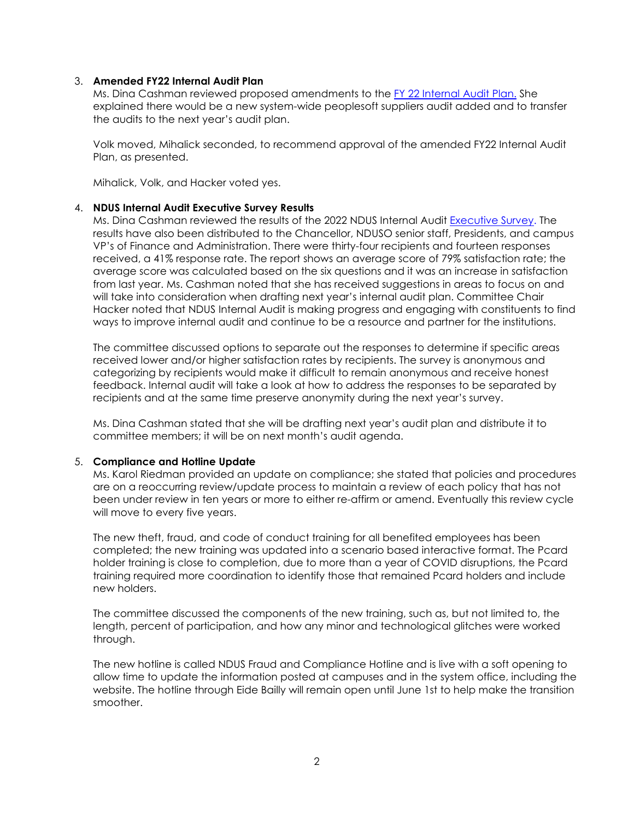## 3. **Amended FY22 Internal Audit Plan**

Ms. Dina Cashman reviewed proposed amendments to the [FY 22 Internal Audit Plan.](https://ndusbpos.sharepoint.com/:b:/s/NDUSSBHE/EWy1Bw9XF89MoPTAiu8N1OMBlFeuGKkcwERKZv-sj1CynA?e=64iYbO) She explained there would be a new system-wide peoplesoft suppliers audit added and to transfer the audits to the next year's audit plan.

Volk moved, Mihalick seconded, to recommend approval of the amended FY22 Internal Audit Plan, as presented.

Mihalick, Volk, and Hacker voted yes.

## 4. **NDUS Internal Audit Executive Survey Results**

Ms. Dina Cashman reviewed the results of the 2022 NDUS Internal Audit [Executive Survey.](https://ndusbpos.sharepoint.com/:b:/s/NDUSSBHE/EXV0wLWCUIhEofsMHBlz1d8BiGzKCRTJWpcDBqAkAsnVZQ?e=Gws0uF) The results have also been distributed to the Chancellor, NDUSO senior staff, Presidents, and campus VP's of Finance and Administration. There were thirty-four recipients and fourteen responses received, a 41% response rate. The report shows an average score of 79% satisfaction rate; the average score was calculated based on the six questions and it was an increase in satisfaction from last year. Ms. Cashman noted that she has received suggestions in areas to focus on and will take into consideration when drafting next year's internal audit plan. Committee Chair Hacker noted that NDUS Internal Audit is making progress and engaging with constituents to find ways to improve internal audit and continue to be a resource and partner for the institutions.

The committee discussed options to separate out the responses to determine if specific areas received lower and/or higher satisfaction rates by recipients. The survey is anonymous and categorizing by recipients would make it difficult to remain anonymous and receive honest feedback. Internal audit will take a look at how to address the responses to be separated by recipients and at the same time preserve anonymity during the next year's survey.

Ms. Dina Cashman stated that she will be drafting next year's audit plan and distribute it to committee members; it will be on next month's audit agenda.

### 5. **Compliance and Hotline Update**

Ms. Karol Riedman provided an update on compliance; she stated that policies and procedures are on a reoccurring review/update process to maintain a review of each policy that has not been under review in ten years or more to either re-affirm or amend. Eventually this review cycle will move to every five years.

The new theft, fraud, and code of conduct training for all benefited employees has been completed; the new training was updated into a scenario based interactive format. The Pcard holder training is close to completion, due to more than a year of COVID disruptions, the Pcard training required more coordination to identify those that remained Pcard holders and include new holders.

The committee discussed the components of the new training, such as, but not limited to, the length, percent of participation, and how any minor and technological glitches were worked through.

The new hotline is called NDUS Fraud and Compliance Hotline and is live with a soft opening to allow time to update the information posted at campuses and in the system office, including the website. The hotline through Eide Bailly will remain open until June 1st to help make the transition smoother.